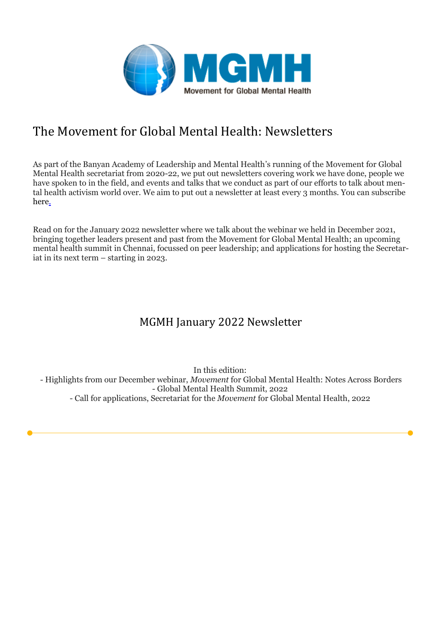

# The Movement for Global Mental Health: Newsletters

As part of the Banyan Academy of Leadership and Mental Health's running of the Movement for Global Mental Health secretariat from 2020-22, we put out newsletters covering work we have done, people we have spoken to in the field, and events and talks that we conduct as part of our efforts to talk about mental health activism world over. We aim to put out a newsletter at least every 3 months. You can subscribe here.

Read on for the January 2022 newsletter where we talk about the webinar we held in December 2021, bringing together leaders present and past from the Movement for Global Mental Health; an upcoming mental health summit in Chennai, focussed on peer leadership; and applications for hosting the Secretariat in its next term – starting in 2023.

# MGMH January 2022 Newsletter

In this edition: - Highlights from our December webinar, *Movement* for Global Mental Health: Notes Across Borders - Global Mental Health Summit, 2022 - Call for applications, Secretariat for the *Movement* for Global Mental Health, 2022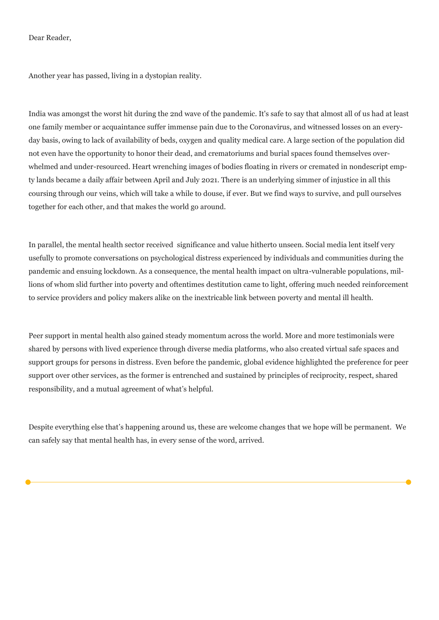#### Dear Reader,

Another year has passed, living in a dystopian reality.

India was amongst the worst hit during the 2nd wave of the pandemic. It's safe to say that almost all of us had at least one family member or acquaintance suffer immense pain due to the Coronavirus, and witnessed losses on an everyday basis, owing to lack of availability of beds, oxygen and quality medical care. A large section of the population did not even have the opportunity to honor their dead, and crematoriums and burial spaces found themselves overwhelmed and under-resourced. Heart wrenching images of bodies floating in rivers or cremated in nondescript empty lands became a daily affair between April and July 2021. There is an underlying simmer of injustice in all this coursing through our veins, which will take a while to douse, if ever. But we find ways to survive, and pull ourselves together for each other, and that makes the world go around.

In parallel, the mental health sector received significance and value hitherto unseen. Social media lent itself very usefully to promote conversations on psychological distress experienced by individuals and communities during the pandemic and ensuing lockdown. As a consequence, the mental health impact on ultra-vulnerable populations, millions of whom slid further into poverty and oftentimes destitution came to light, offering much needed reinforcement to service providers and policy makers alike on the inextricable link between poverty and mental ill health.

Peer support in mental health also gained steady momentum across the world. More and more testimonials were shared by persons with lived experience through diverse media platforms, who also created virtual safe spaces and support groups for persons in distress. Even before the pandemic, global evidence highlighted the preference for peer support over other services, as the former is entrenched and sustained by principles of reciprocity, respect, shared responsibility, and a mutual agreement of what's helpful.

Despite everything else that's happening around us, these are welcome changes that we hope will be permanent. We can safely say that mental health has, in every sense of the word, arrived.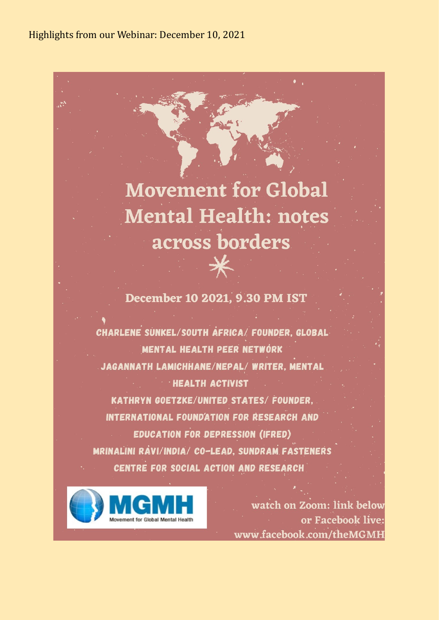Highlights from our Webinar: December 10, 2021

# **Movement for Global Mental Health: notes** across borders

December 10 2021, 9.30 PM IST

 $\star$ 

CHARLENE SUNKEL/SOUTH AFRICA/ FOUNDER, GLOBAL MENTAL HEALTH PEER NETWORK JAGANNATH LAMICHHANE/NEPAL/ WRITER, MENTAL **HEALTH ACTIVIST KATHRYN GOETZKE/UNITED STATES/ FOUNDER.** INTERNATIONAL FOUND'ATION FOR RESEARCH AND **EDUCATION FOR DEPRESSION (IFRED)** MRINALINI RAVI/INDIA/ CO-LEAD, SUNDRAM FASTENERS CENTRE FOR SOCIAL ACTION AND RESEARCH



watch on Zoom: link below or Facebook live: www.facebook.com/theMGMH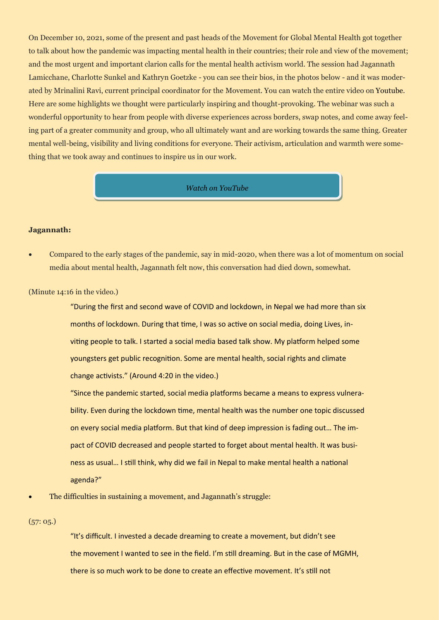On December 10, 2021, some of the present and past heads of the Movement for Global Mental Health got together to talk about how the pandemic was impacting mental health in their countries; their role and view of the movement; and the most urgent and important clarion calls for the mental health activism world. The session had Jagannath Lamicchane, Charlotte Sunkel and Kathryn Goetzke - you can see their bios, in the photos below - and it was moderated by Mrinalini Ravi, current principal coordinator for the Movement. You can watch the entire video on Youtube. Here are some highlights we thought were particularly inspiring and thought-provoking. The webinar was such a wonderful opportunity to hear from people with diverse experiences across borders, swap notes, and come away feeling part of a greater community and group, who all ultimately want and are working towards the same thing. Greater mental well-being, visibility and living conditions for everyone. Their activism, articulation and warmth were something that we took away and continues to inspire us in our work.

#### *[Watch on YouTube](https://www.youtube.com/watch?v=V-)*

#### **Jagannath:**

• Compared to the early stages of the pandemic, say in mid-2020, when there was a lot of momentum on social media about mental health, Jagannath felt now, this conversation had died down, somewhat.

(Minute 14:16 in the video.)

"During the first and second wave of COVID and lockdown, in Nepal we had more than six months of lockdown. During that time, I was so active on social media, doing Lives, inviting people to talk. I started a social media based talk show. My platform helped some youngsters get public recognition. Some are mental health, social rights and climate change activists." (Around 4:20 in the video.)

"Since the pandemic started, social media platforms became a means to express vulnerability. Even during the lockdown time, mental health was the number one topic discussed on every social media platform. But that kind of deep impression is fading out… The impact of COVID decreased and people started to forget about mental health. It was business as usual… I still think, why did we fail in Nepal to make mental health a national agenda?"

• The difficulties in sustaining a movement, and Jagannath's struggle:

## (57: 05.)

"It's difficult. I invested a decade dreaming to create a movement, but didn't see the movement I wanted to see in the field. I'm still dreaming. But in the case of MGMH, there is so much work to be done to create an effective movement. It's still not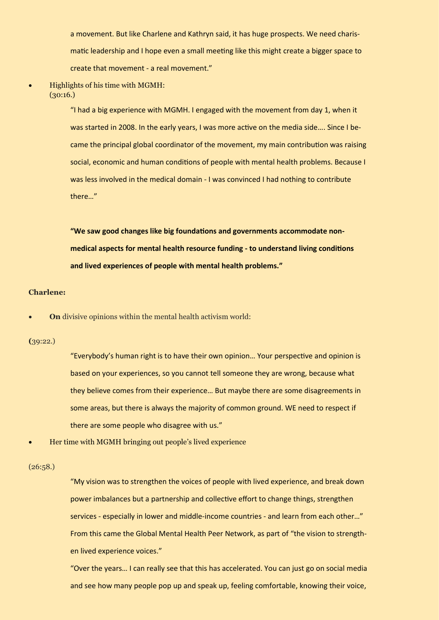a movement. But like Charlene and Kathryn said, it has huge prospects. We need charismatic leadership and I hope even a small meeting like this might create a bigger space to create that movement - a real movement."

## • Highlights of his time with MGMH:  $(30:16.)$

"I had a big experience with MGMH. I engaged with the movement from day 1, when it was started in 2008. In the early years, I was more active on the media side…. Since I became the principal global coordinator of the movement, my main contribution was raising social, economic and human conditions of people with mental health problems. Because I was less involved in the medical domain - I was convinced I had nothing to contribute there…"

**"We saw good changes like big foundations and governments accommodate nonmedical aspects for mental health resource funding - to understand living conditions and lived experiences of people with mental health problems."**

### **Charlene:**

• **On** divisive opinions within the mental health activism world:

### **(**39:22.)

"Everybody's human right is to have their own opinion… Your perspective and opinion is based on your experiences, so you cannot tell someone they are wrong, because what they believe comes from their experience… But maybe there are some disagreements in some areas, but there is always the majority of common ground. WE need to respect if there are some people who disagree with us."

• Her time with MGMH bringing out people's lived experience

#### (26:58.)

"My vision was to strengthen the voices of people with lived experience, and break down power imbalances but a partnership and collective effort to change things, strengthen services - especially in lower and middle-income countries - and learn from each other…" From this came the Global Mental Health Peer Network, as part of "the vision to strengthen lived experience voices."

"Over the years… I can really see that this has accelerated. You can just go on social media and see how many people pop up and speak up, feeling comfortable, knowing their voice,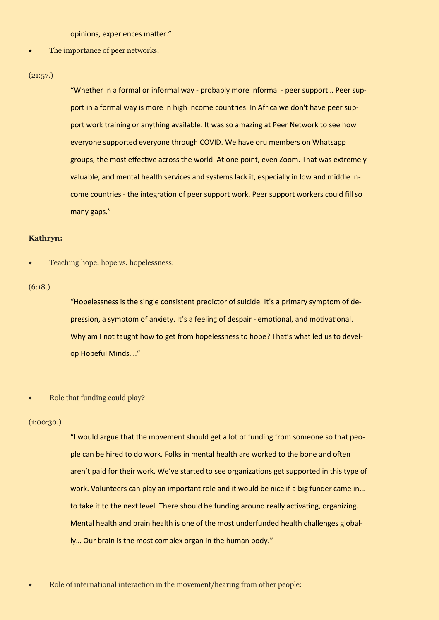opinions, experiences matter."

The importance of peer networks:

#### $(21:57.)$

"Whether in a formal or informal way - probably more informal - peer support… Peer support in a formal way is more in high income countries. In Africa we don't have peer support work training or anything available. It was so amazing at Peer Network to see how everyone supported everyone through COVID. We have oru members on Whatsapp groups, the most effective across the world. At one point, even Zoom. That was extremely valuable, and mental health services and systems lack it, especially in low and middle income countries - the integration of peer support work. Peer support workers could fill so many gaps."

## **Kathryn:**

• Teaching hope; hope vs. hopelessness:

## (6:18.)

"Hopelessness is the single consistent predictor of suicide. It's a primary symptom of depression, a symptom of anxiety. It's a feeling of despair - emotional, and motivational. Why am I not taught how to get from hopelessness to hope? That's what led us to develop Hopeful Minds…."

• Role that funding could play?

#### $(1:00:30.)$

"I would argue that the movement should get a lot of funding from someone so that people can be hired to do work. Folks in mental health are worked to the bone and often aren't paid for their work. We've started to see organizations get supported in this type of work. Volunteers can play an important role and it would be nice if a big funder came in… to take it to the next level. There should be funding around really activating, organizing. Mental health and brain health is one of the most underfunded health challenges globally… Our brain is the most complex organ in the human body."

• Role of international interaction in the movement/hearing from other people: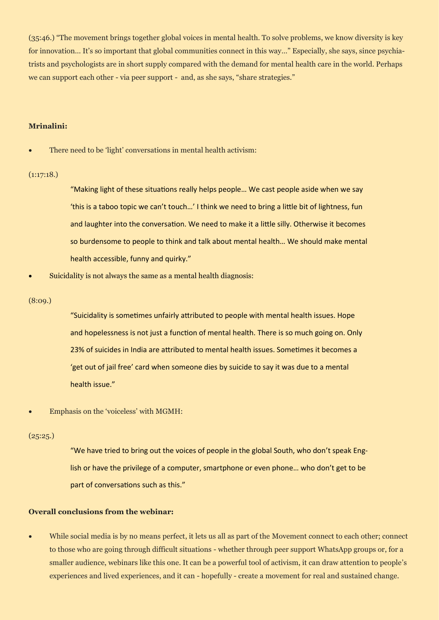(35:46.) "The movement brings together global voices in mental health. To solve problems, we know diversity is key for innovation… It's so important that global communities connect in this way…" Especially, she says, since psychiatrists and psychologists are in short supply compared with the demand for mental health care in the world. Perhaps we can support each other - via peer support - and, as she says, "share strategies."

## **Mrinalini:**

There need to be 'light' conversations in mental health activism:

## (1:17:18.)

"Making light of these situations really helps people… We cast people aside when we say 'this is a taboo topic we can't touch…' I think we need to bring a little bit of lightness, fun and laughter into the conversation. We need to make it a little silly. Otherwise it becomes so burdensome to people to think and talk about mental health… We should make mental health accessible, funny and quirky."

Suicidality is not always the same as a mental health diagnosis:

#### (8:09.)

"Suicidality is sometimes unfairly attributed to people with mental health issues. Hope and hopelessness is not just a function of mental health. There is so much going on. Only 23% of suicides in India are attributed to mental health issues. Sometimes it becomes a 'get out of jail free' card when someone dies by suicide to say it was due to a mental health issue."

• Emphasis on the 'voiceless' with MGMH:

#### (25:25.)

"We have tried to bring out the voices of people in the global South, who don't speak English or have the privilege of a computer, smartphone or even phone… who don't get to be part of conversations such as this."

## **Overall conclusions from the webinar:**

• While social media is by no means perfect, it lets us all as part of the Movement connect to each other; connect to those who are going through difficult situations - whether through peer support WhatsApp groups or, for a smaller audience, webinars like this one. It can be a powerful tool of activism, it can draw attention to people's experiences and lived experiences, and it can - hopefully - create a movement for real and sustained change.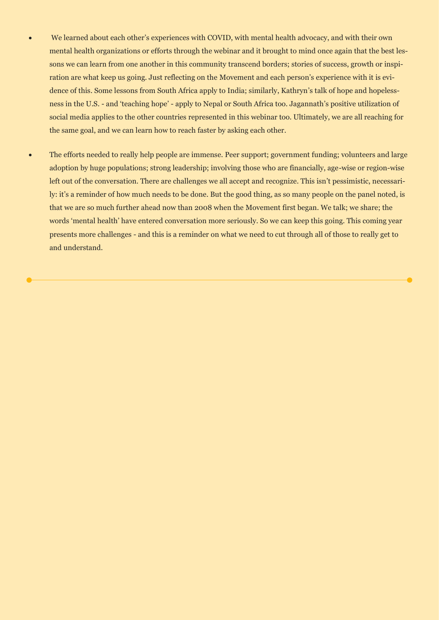- We learned about each other's experiences with COVID, with mental health advocacy, and with their own mental health organizations or efforts through the webinar and it brought to mind once again that the best lessons we can learn from one another in this community transcend borders; stories of success, growth or inspiration are what keep us going. Just reflecting on the Movement and each person's experience with it is evidence of this. Some lessons from South Africa apply to India; similarly, Kathryn's talk of hope and hopelessness in the U.S. - and 'teaching hope' - apply to Nepal or South Africa too. Jagannath's positive utilization of social media applies to the other countries represented in this webinar too. Ultimately, we are all reaching for the same goal, and we can learn how to reach faster by asking each other.
- The efforts needed to really help people are immense. Peer support; government funding; volunteers and large adoption by huge populations; strong leadership; involving those who are financially, age-wise or region-wise left out of the conversation. There are challenges we all accept and recognize. This isn't pessimistic, necessarily: it's a reminder of how much needs to be done. But the good thing, as so many people on the panel noted, is that we are so much further ahead now than 2008 when the Movement first began. We talk; we share; the words 'mental health' have entered conversation more seriously. So we can keep this going. This coming year presents more challenges - and this is a reminder on what we need to cut through all of those to really get to and understand.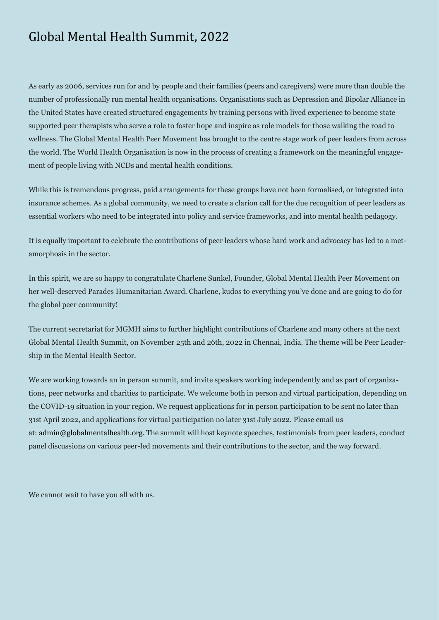# Global Mental Health Summit, 2022

As early as 2006, services run for and by people and their families (peers and caregivers) were more than double the number of professionally run mental health organisations. Organisations such as Depression and Bipolar Alliance in the United States have created structured engagements by training persons with lived experience to become state supported peer therapists who serve a role to foster hope and inspire as role models for those walking the road to wellness. The Global Mental Health Peer Movement has brought to the centre stage work of peer leaders from across the world. The World Health Organisation is now in the process of creating a framework on the meaningful engagement of people living with NCDs and mental health conditions.

While this is tremendous progress, paid arrangements for these groups have not been formalised, or integrated into insurance schemes. As a global community, we need to create a clarion call for the due recognition of peer leaders as essential workers who need to be integrated into policy and service frameworks, and into mental health pedagogy.

It is equally important to celebrate the contributions of peer leaders whose hard work and advocacy has led to a metamorphosis in the sector.

In this spirit, we are so happy to congratulate Charlene Sunkel, Founder, Global Mental Health Peer Movement on her well-deserved Parades Humanitarian Award. Charlene, kudos to everything you've done and are going to do for the global peer community!

The current secretariat for MGMH aims to further highlight contributions of Charlene and many others at the next Global Mental Health Summit, on November 25th and 26th, 2022 in Chennai, India. The theme will be Peer Leadership in the Mental Health Sector.

We are working towards an in person summit, and invite speakers working independently and as part of organizations, peer networks and charities to participate. We welcome both in person and virtual participation, depending on the COVID-19 situation in your region. We request applications for in person participation to be sent no later than 31st April 2022, and applications for virtual participation no later 31st July 2022. Please email us at: admin@globalmentalhealth.org. The summit will host keynote speeches, testimonials from peer leaders, conduct panel discussions on various peer-led movements and their contributions to the sector, and the way forward.

We cannot wait to have you all with us.